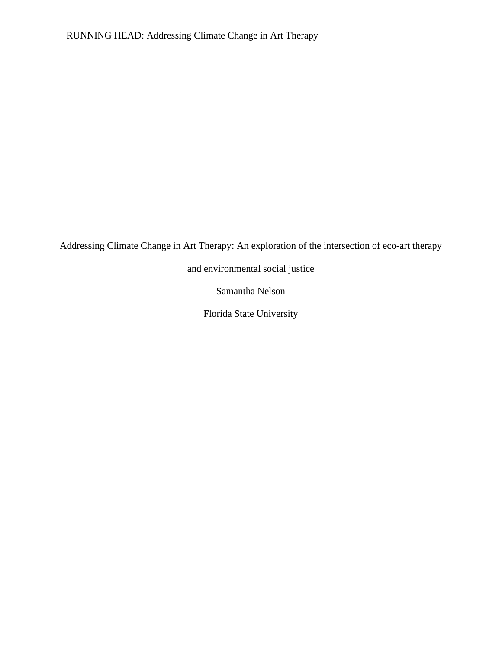Addressing Climate Change in Art Therapy: An exploration of the intersection of eco-art therapy

and environmental social justice

Samantha Nelson

Florida State University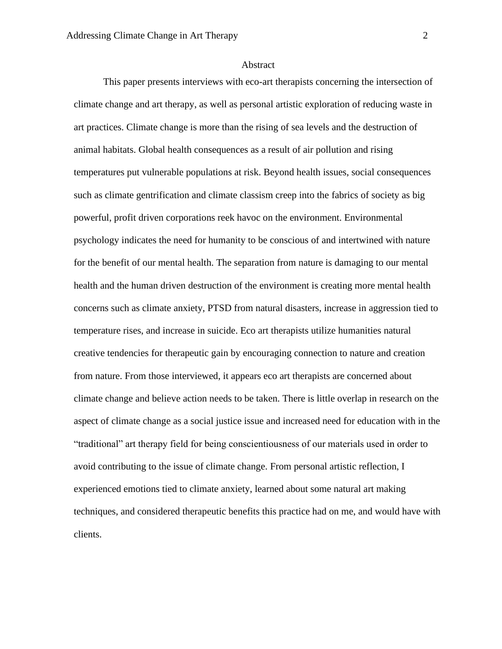#### Abstract

This paper presents interviews with eco-art therapists concerning the intersection of climate change and art therapy, as well as personal artistic exploration of reducing waste in art practices. Climate change is more than the rising of sea levels and the destruction of animal habitats. Global health consequences as a result of air pollution and rising temperatures put vulnerable populations at risk. Beyond health issues, social consequences such as climate gentrification and climate classism creep into the fabrics of society as big powerful, profit driven corporations reek havoc on the environment. Environmental psychology indicates the need for humanity to be conscious of and intertwined with nature for the benefit of our mental health. The separation from nature is damaging to our mental health and the human driven destruction of the environment is creating more mental health concerns such as climate anxiety, PTSD from natural disasters, increase in aggression tied to temperature rises, and increase in suicide. Eco art therapists utilize humanities natural creative tendencies for therapeutic gain by encouraging connection to nature and creation from nature. From those interviewed, it appears eco art therapists are concerned about climate change and believe action needs to be taken. There is little overlap in research on the aspect of climate change as a social justice issue and increased need for education with in the "traditional" art therapy field for being conscientiousness of our materials used in order to avoid contributing to the issue of climate change. From personal artistic reflection, I experienced emotions tied to climate anxiety, learned about some natural art making techniques, and considered therapeutic benefits this practice had on me, and would have with clients.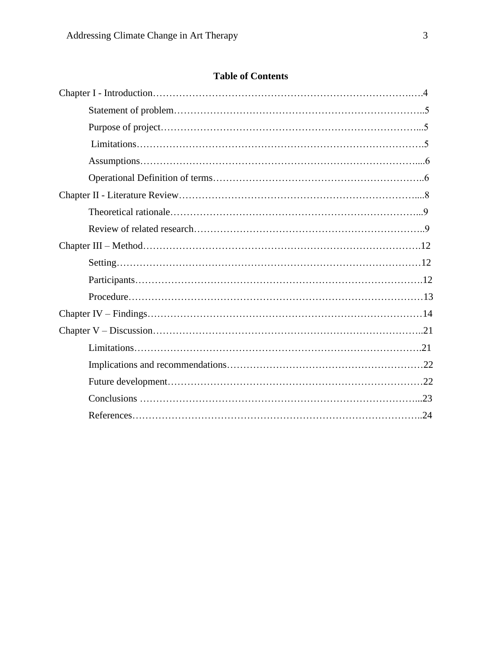# **Table of Contents**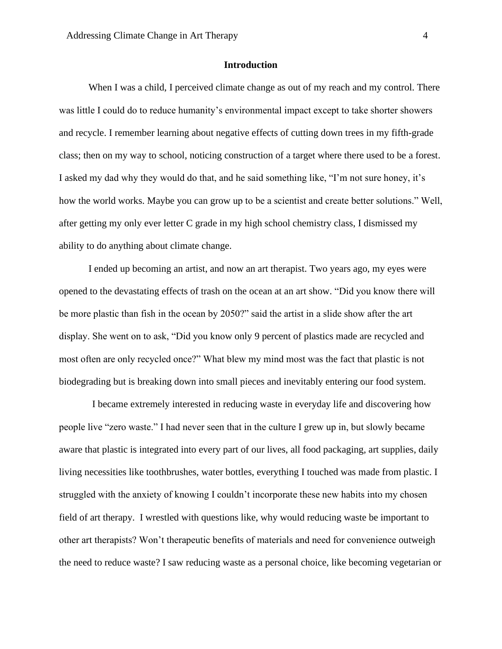## **Introduction**

When I was a child, I perceived climate change as out of my reach and my control. There was little I could do to reduce humanity's environmental impact except to take shorter showers and recycle. I remember learning about negative effects of cutting down trees in my fifth-grade class; then on my way to school, noticing construction of a target where there used to be a forest. I asked my dad why they would do that, and he said something like, "I'm not sure honey, it's how the world works. Maybe you can grow up to be a scientist and create better solutions." Well, after getting my only ever letter C grade in my high school chemistry class, I dismissed my ability to do anything about climate change.

I ended up becoming an artist, and now an art therapist. Two years ago, my eyes were opened to the devastating effects of trash on the ocean at an art show. "Did you know there will be more plastic than fish in the ocean by 2050?" said the artist in a slide show after the art display. She went on to ask, "Did you know only 9 percent of plastics made are recycled and most often are only recycled once?" What blew my mind most was the fact that plastic is not biodegrading but is breaking down into small pieces and inevitably entering our food system.

I became extremely interested in reducing waste in everyday life and discovering how people live "zero waste." I had never seen that in the culture I grew up in, but slowly became aware that plastic is integrated into every part of our lives, all food packaging, art supplies, daily living necessities like toothbrushes, water bottles, everything I touched was made from plastic. I struggled with the anxiety of knowing I couldn't incorporate these new habits into my chosen field of art therapy. I wrestled with questions like, why would reducing waste be important to other art therapists? Won't therapeutic benefits of materials and need for convenience outweigh the need to reduce waste? I saw reducing waste as a personal choice, like becoming vegetarian or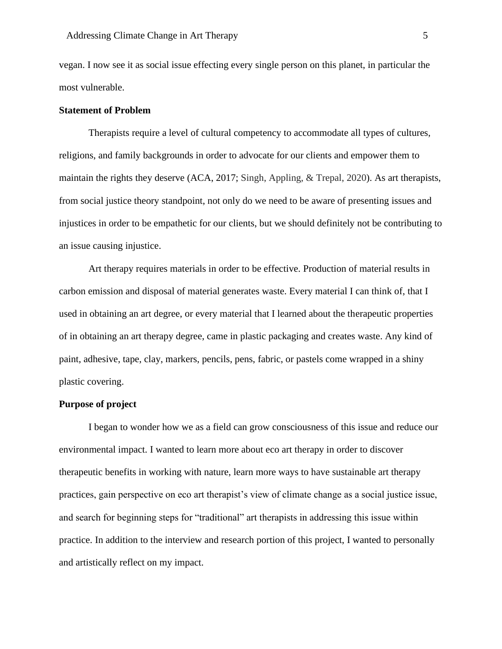vegan. I now see it as social issue effecting every single person on this planet, in particular the most vulnerable.

## **Statement of Problem**

Therapists require a level of cultural competency to accommodate all types of cultures, religions, and family backgrounds in order to advocate for our clients and empower them to maintain the rights they deserve (ACA, 2017; Singh, Appling, & Trepal, 2020). As art therapists, from social justice theory standpoint, not only do we need to be aware of presenting issues and injustices in order to be empathetic for our clients, but we should definitely not be contributing to an issue causing injustice.

Art therapy requires materials in order to be effective. Production of material results in carbon emission and disposal of material generates waste. Every material I can think of, that I used in obtaining an art degree, or every material that I learned about the therapeutic properties of in obtaining an art therapy degree, came in plastic packaging and creates waste. Any kind of paint, adhesive, tape, clay, markers, pencils, pens, fabric, or pastels come wrapped in a shiny plastic covering.

# **Purpose of project**

I began to wonder how we as a field can grow consciousness of this issue and reduce our environmental impact. I wanted to learn more about eco art therapy in order to discover therapeutic benefits in working with nature, learn more ways to have sustainable art therapy practices, gain perspective on eco art therapist's view of climate change as a social justice issue, and search for beginning steps for "traditional" art therapists in addressing this issue within practice. In addition to the interview and research portion of this project, I wanted to personally and artistically reflect on my impact.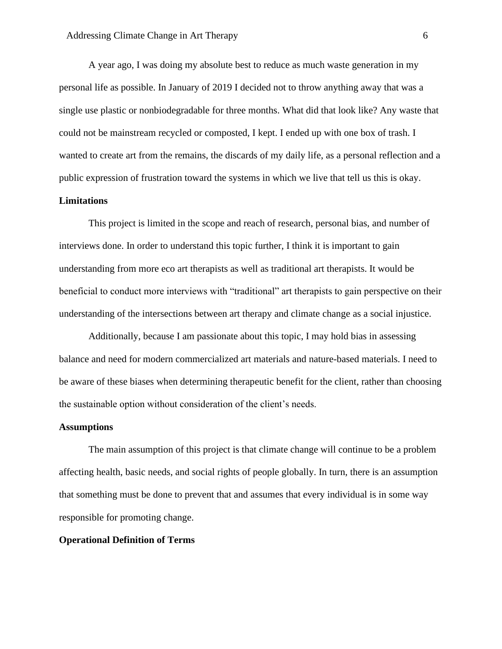A year ago, I was doing my absolute best to reduce as much waste generation in my personal life as possible. In January of 2019 I decided not to throw anything away that was a single use plastic or nonbiodegradable for three months. What did that look like? Any waste that could not be mainstream recycled or composted, I kept. I ended up with one box of trash. I wanted to create art from the remains, the discards of my daily life, as a personal reflection and a public expression of frustration toward the systems in which we live that tell us this is okay.

# **Limitations**

This project is limited in the scope and reach of research, personal bias, and number of interviews done. In order to understand this topic further, I think it is important to gain understanding from more eco art therapists as well as traditional art therapists. It would be beneficial to conduct more interviews with "traditional" art therapists to gain perspective on their understanding of the intersections between art therapy and climate change as a social injustice.

Additionally, because I am passionate about this topic, I may hold bias in assessing balance and need for modern commercialized art materials and nature-based materials. I need to be aware of these biases when determining therapeutic benefit for the client, rather than choosing the sustainable option without consideration of the client's needs.

#### **Assumptions**

The main assumption of this project is that climate change will continue to be a problem affecting health, basic needs, and social rights of people globally. In turn, there is an assumption that something must be done to prevent that and assumes that every individual is in some way responsible for promoting change.

# **Operational Definition of Terms**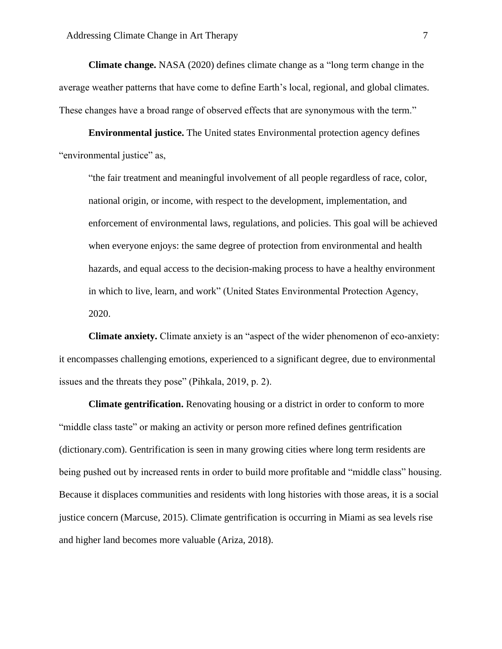**Climate change.** NASA (2020) defines climate change as a "long term change in the average weather patterns that have come to define Earth's local, regional, and global climates. These changes have a broad range of observed effects that are synonymous with the term."

**Environmental justice.** The United states Environmental protection agency defines "environmental justice" as,

"the fair treatment and meaningful involvement of all people regardless of race, color, national origin, or income, with respect to the development, implementation, and enforcement of environmental laws, regulations, and policies. This goal will be achieved when everyone enjoys: the same degree of protection from environmental and health hazards, and equal access to the decision-making process to have a healthy environment in which to live, learn, and work" (United States Environmental Protection Agency, 2020.

**Climate anxiety.** Climate anxiety is an "aspect of the wider phenomenon of eco-anxiety: it encompasses challenging emotions, experienced to a significant degree, due to environmental issues and the threats they pose" (Pihkala, 2019, p. 2).

**Climate gentrification.** Renovating housing or a district in order to conform to more "middle class taste" or making an activity or person more refined defines gentrification (dictionary.com). Gentrification is seen in many growing cities where long term residents are being pushed out by increased rents in order to build more profitable and "middle class" housing. Because it displaces communities and residents with long histories with those areas, it is a social justice concern (Marcuse, 2015). Climate gentrification is occurring in Miami as sea levels rise and higher land becomes more valuable (Ariza, 2018).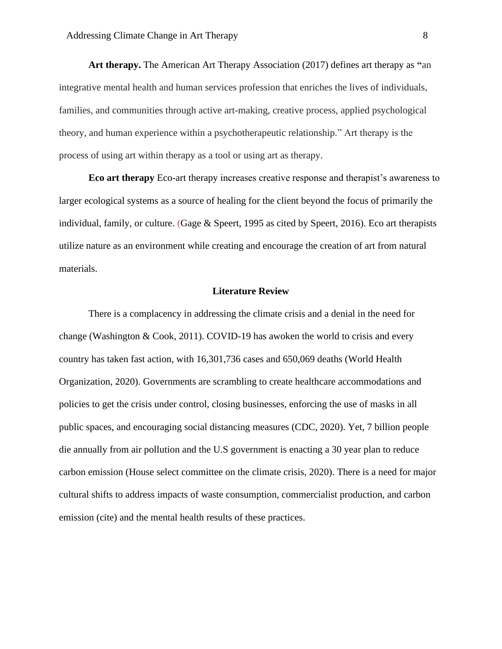**Art therapy.** The American Art Therapy Association (2017) defines art therapy as **"**an integrative mental health and human services profession that enriches the lives of individuals, families, and communities through active art-making, creative process, applied psychological theory, and human experience within a psychotherapeutic relationship." Art therapy is the process of using art within therapy as a tool or using art as therapy.

**Eco art therapy** Eco-art therapy increases creative response and therapist's awareness to larger ecological systems as a source of healing for the client beyond the focus of primarily the individual, family, or culture. (Gage & Speert, 1995 as cited by Speert, 2016). Eco art therapists utilize nature as an environment while creating and encourage the creation of art from natural materials.

#### **Literature Review**

There is a complacency in addressing the climate crisis and a denial in the need for change (Washington & Cook, 2011). COVID-19 has awoken the world to crisis and every country has taken fast action, with 16,301,736 cases and 650,069 deaths (World Health Organization, 2020). Governments are scrambling to create healthcare accommodations and policies to get the crisis under control, closing businesses, enforcing the use of masks in all public spaces, and encouraging social distancing measures (CDC, 2020). Yet, 7 billion people die annually from air pollution and the U.S government is enacting a 30 year plan to reduce carbon emission (House select committee on the climate crisis, 2020). There is a need for major cultural shifts to address impacts of waste consumption, commercialist production, and carbon emission (cite) and the mental health results of these practices.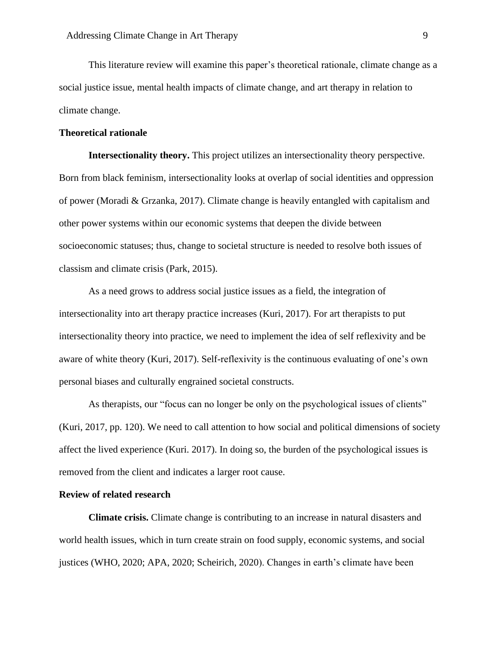This literature review will examine this paper's theoretical rationale, climate change as a social justice issue, mental health impacts of climate change, and art therapy in relation to climate change.

# **Theoretical rationale**

**Intersectionality theory.** This project utilizes an intersectionality theory perspective. Born from black feminism, intersectionality looks at overlap of social identities and oppression of power (Moradi & Grzanka, 2017). Climate change is heavily entangled with capitalism and other power systems within our economic systems that deepen the divide between socioeconomic statuses; thus, change to societal structure is needed to resolve both issues of classism and climate crisis (Park, 2015).

As a need grows to address social justice issues as a field, the integration of intersectionality into art therapy practice increases (Kuri, 2017). For art therapists to put intersectionality theory into practice, we need to implement the idea of self reflexivity and be aware of white theory (Kuri, 2017). Self-reflexivity is the continuous evaluating of one's own personal biases and culturally engrained societal constructs.

As therapists, our "focus can no longer be only on the psychological issues of clients" (Kuri, 2017, pp. 120). We need to call attention to how social and political dimensions of society affect the lived experience (Kuri. 2017). In doing so, the burden of the psychological issues is removed from the client and indicates a larger root cause.

# **Review of related research**

**Climate crisis.** Climate change is contributing to an increase in natural disasters and world health issues, which in turn create strain on food supply, economic systems, and social justices (WHO, 2020; APA, 2020; Scheirich, 2020). Changes in earth's climate have been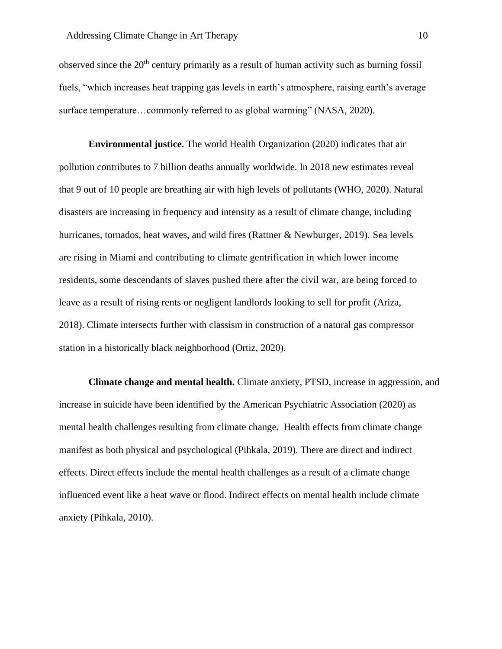observed since the  $20<sup>th</sup>$  century primarily as a result of human activity such as burning fossil fuels, "which increases heat trapping gas levels in earth's atmosphere, raising earth's average surface temperature…commonly referred to as global warming" (NASA, 2020).

**Environmental justice.** The world Health Organization (2020) indicates that air pollution contributes to 7 billion deaths annually worldwide. In 2018 new estimates reveal that 9 out of 10 people are breathing air with high levels of pollutants (WHO, 2020). Natural disasters are increasing in frequency and intensity as a result of climate change, including hurricanes, tornados, heat waves, and wild fires (Rattner & Newburger, 2019). Sea levels are rising in Miami and contributing to climate gentrification in which lower income residents, some descendants of slaves pushed there after the civil war, are being forced to leave as a result of rising rents or negligent landlords looking to sell for profit (Ariza, 2018). Climate intersects further with classism in construction of a natural gas compressor station in a historically black neighborhood (Ortiz, 2020).

**Climate change and mental health.** Climate anxiety, PTSD, increase in aggression, and increase in suicide have been identified by the American Psychiatric Association (2020) as mental health challenges resulting from climate change**.** Health effects from climate change manifest as both physical and psychological (Pihkala, 2019). There are direct and indirect effects. Direct effects include the mental health challenges as a result of a climate change influenced event like a heat wave or flood. Indirect effects on mental health include climate anxiety (Pihkala, 2010).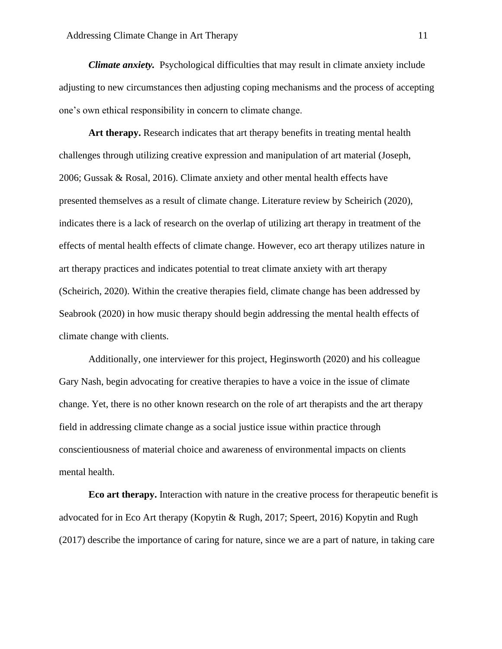*Climate anxiety.* Psychological difficulties that may result in climate anxiety include adjusting to new circumstances then adjusting coping mechanisms and the process of accepting one's own ethical responsibility in concern to climate change.

**Art therapy.** Research indicates that art therapy benefits in treating mental health challenges through utilizing creative expression and manipulation of art material (Joseph, 2006; Gussak & Rosal, 2016). Climate anxiety and other mental health effects have presented themselves as a result of climate change. Literature review by Scheirich (2020), indicates there is a lack of research on the overlap of utilizing art therapy in treatment of the effects of mental health effects of climate change. However, eco art therapy utilizes nature in art therapy practices and indicates potential to treat climate anxiety with art therapy (Scheirich, 2020). Within the creative therapies field, climate change has been addressed by Seabrook (2020) in how music therapy should begin addressing the mental health effects of climate change with clients.

Additionally, one interviewer for this project, Heginsworth (2020) and his colleague Gary Nash, begin advocating for creative therapies to have a voice in the issue of climate change. Yet, there is no other known research on the role of art therapists and the art therapy field in addressing climate change as a social justice issue within practice through conscientiousness of material choice and awareness of environmental impacts on clients mental health.

**Eco art therapy.** Interaction with nature in the creative process for therapeutic benefit is advocated for in Eco Art therapy (Kopytin & Rugh, 2017; Speert, 2016) Kopytin and Rugh (2017) describe the importance of caring for nature, since we are a part of nature, in taking care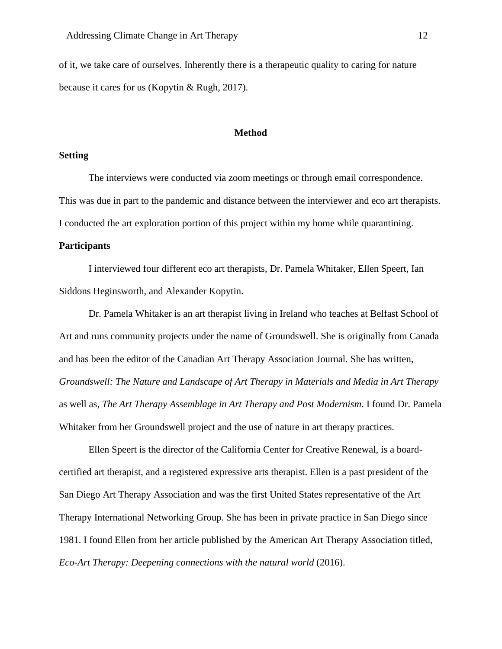of it, we take care of ourselves. Inherently there is a therapeutic quality to caring for nature because it cares for us (Kopytin & Rugh, 2017).

# **Method**

# **Setting**

The interviews were conducted via zoom meetings or through email correspondence. This was due in part to the pandemic and distance between the interviewer and eco art therapists. I conducted the art exploration portion of this project within my home while quarantining.

#### **Participants**

I interviewed four different eco art therapists, Dr. Pamela Whitaker, Ellen Speert, Ian Siddons Heginsworth, and Alexander Kopytin.

Dr. Pamela Whitaker is an art therapist living in Ireland who teaches at Belfast School of Art and runs community projects under the name of Groundswell. She is originally from Canada and has been the editor of the Canadian Art Therapy Association Journal. She has written, *Groundswell: The Nature and Landscape of Art Therapy in Materials and Media in Art Therapy* as well as, *The Art Therapy Assemblage in Art Therapy and Post Modernism*. I found Dr. Pamela Whitaker from her Groundswell project and the use of nature in art therapy practices.

Ellen Speert is the director of the California Center for Creative Renewal, is a boardcertified art therapist, and a registered expressive arts therapist. Ellen is a past president of the San Diego Art Therapy Association and was the first United States representative of the Art Therapy International Networking Group. She has been in private practice in San Diego since 1981. I found Ellen from her article published by the American Art Therapy Association titled, *Eco-Art Therapy: Deepening connections with the natural world* (2016).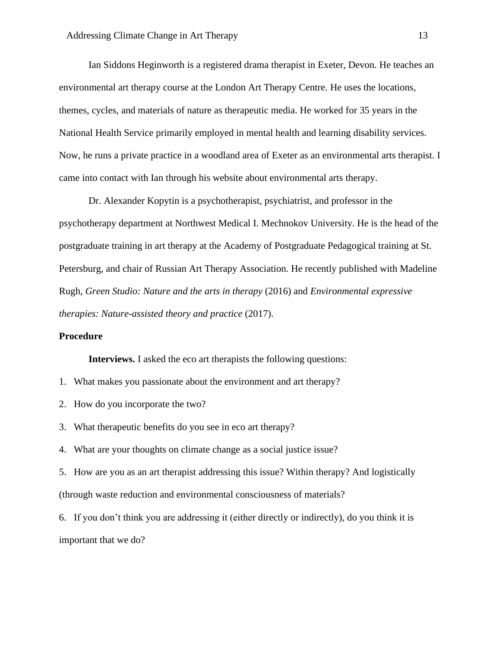Ian Siddons Heginworth is a registered drama therapist in Exeter, Devon. He teaches an environmental art therapy course at the London Art Therapy Centre. He uses the locations, themes, cycles, and materials of nature as therapeutic media. He worked for 35 years in the National Health Service primarily employed in mental health and learning disability services. Now, he runs a private practice in a woodland area of Exeter as an environmental arts therapist. I came into contact with Ian through his website about environmental arts therapy.

Dr. Alexander Kopytin is a psychotherapist, psychiatrist, and professor in the psychotherapy department at Northwest Medical I. Mechnokov University. He is the head of the postgraduate training in art therapy at the Academy of Postgraduate Pedagogical training at St. Petersburg, and chair of Russian Art Therapy Association. He recently published with Madeline Rugh, *Green Studio: Nature and the arts in therapy* (2016) and *Environmental expressive therapies: Nature-assisted theory and practice* (2017).

# **Procedure**

**Interviews.** I asked the eco art therapists the following questions:

- 1. What makes you passionate about the environment and art therapy?
- 2. How do you incorporate the two?
- 3. What therapeutic benefits do you see in eco art therapy?
- 4. What are your thoughts on climate change as a social justice issue?

5. How are you as an art therapist addressing this issue? Within therapy? And logistically (through waste reduction and environmental consciousness of materials?

6. If you don't think you are addressing it (either directly or indirectly), do you think it is important that we do?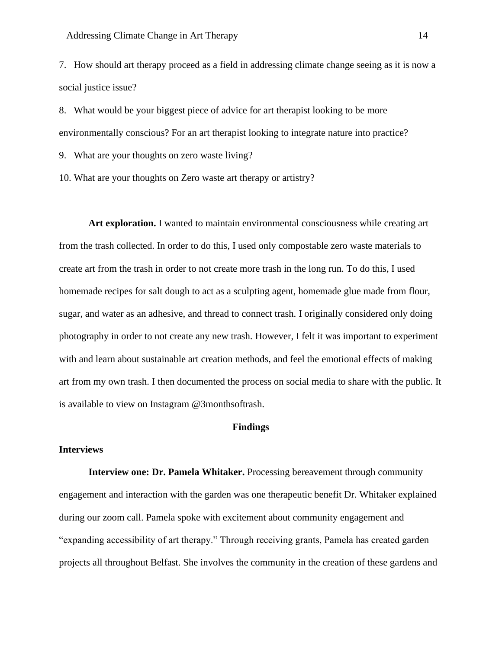7. How should art therapy proceed as a field in addressing climate change seeing as it is now a social justice issue?

8. What would be your biggest piece of advice for art therapist looking to be more environmentally conscious? For an art therapist looking to integrate nature into practice?

9. What are your thoughts on zero waste living?

10. What are your thoughts on Zero waste art therapy or artistry?

**Art exploration.** I wanted to maintain environmental consciousness while creating art from the trash collected. In order to do this, I used only compostable zero waste materials to create art from the trash in order to not create more trash in the long run. To do this, I used homemade recipes for salt dough to act as a sculpting agent, homemade glue made from flour, sugar, and water as an adhesive, and thread to connect trash. I originally considered only doing photography in order to not create any new trash. However, I felt it was important to experiment with and learn about sustainable art creation methods, and feel the emotional effects of making art from my own trash. I then documented the process on social media to share with the public. It is available to view on Instagram @3monthsoftrash.

# **Findings**

# **Interviews**

**Interview one: Dr. Pamela Whitaker.** Processing bereavement through community engagement and interaction with the garden was one therapeutic benefit Dr. Whitaker explained during our zoom call. Pamela spoke with excitement about community engagement and "expanding accessibility of art therapy." Through receiving grants, Pamela has created garden projects all throughout Belfast. She involves the community in the creation of these gardens and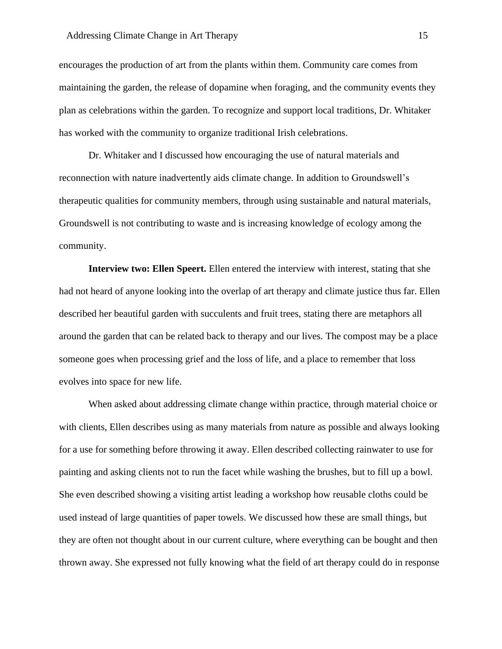encourages the production of art from the plants within them. Community care comes from maintaining the garden, the release of dopamine when foraging, and the community events they plan as celebrations within the garden. To recognize and support local traditions, Dr. Whitaker has worked with the community to organize traditional Irish celebrations.

Dr. Whitaker and I discussed how encouraging the use of natural materials and reconnection with nature inadvertently aids climate change. In addition to Groundswell's therapeutic qualities for community members, through using sustainable and natural materials, Groundswell is not contributing to waste and is increasing knowledge of ecology among the community.

**Interview two: Ellen Speert.** Ellen entered the interview with interest, stating that she had not heard of anyone looking into the overlap of art therapy and climate justice thus far. Ellen described her beautiful garden with succulents and fruit trees, stating there are metaphors all around the garden that can be related back to therapy and our lives. The compost may be a place someone goes when processing grief and the loss of life, and a place to remember that loss evolves into space for new life.

When asked about addressing climate change within practice, through material choice or with clients, Ellen describes using as many materials from nature as possible and always looking for a use for something before throwing it away. Ellen described collecting rainwater to use for painting and asking clients not to run the facet while washing the brushes, but to fill up a bowl. She even described showing a visiting artist leading a workshop how reusable cloths could be used instead of large quantities of paper towels. We discussed how these are small things, but they are often not thought about in our current culture, where everything can be bought and then thrown away. She expressed not fully knowing what the field of art therapy could do in response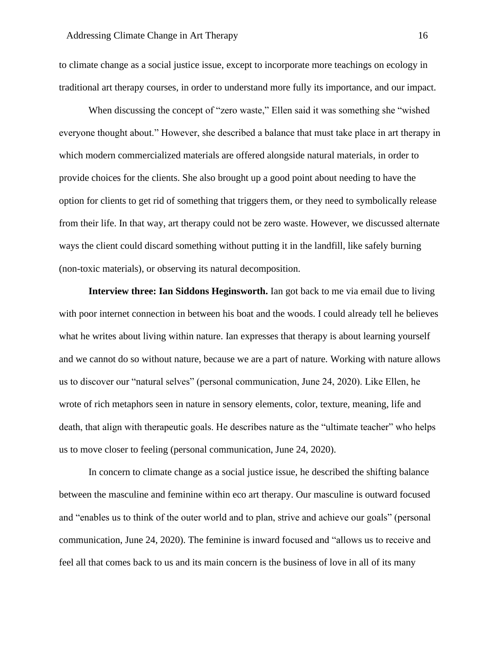to climate change as a social justice issue, except to incorporate more teachings on ecology in traditional art therapy courses, in order to understand more fully its importance, and our impact.

When discussing the concept of "zero waste," Ellen said it was something she "wished everyone thought about." However, she described a balance that must take place in art therapy in which modern commercialized materials are offered alongside natural materials, in order to provide choices for the clients. She also brought up a good point about needing to have the option for clients to get rid of something that triggers them, or they need to symbolically release from their life. In that way, art therapy could not be zero waste. However, we discussed alternate ways the client could discard something without putting it in the landfill, like safely burning (non-toxic materials), or observing its natural decomposition.

**Interview three: Ian Siddons Heginsworth.** Ian got back to me via email due to living with poor internet connection in between his boat and the woods. I could already tell he believes what he writes about living within nature. Ian expresses that therapy is about learning yourself and we cannot do so without nature, because we are a part of nature. Working with nature allows us to discover our "natural selves" (personal communication, June 24, 2020). Like Ellen, he wrote of rich metaphors seen in nature in sensory elements, color, texture, meaning, life and death, that align with therapeutic goals. He describes nature as the "ultimate teacher" who helps us to move closer to feeling (personal communication, June 24, 2020).

In concern to climate change as a social justice issue, he described the shifting balance between the masculine and feminine within eco art therapy. Our masculine is outward focused and "enables us to think of the outer world and to plan, strive and achieve our goals" (personal communication, June 24, 2020). The feminine is inward focused and "allows us to receive and feel all that comes back to us and its main concern is the business of love in all of its many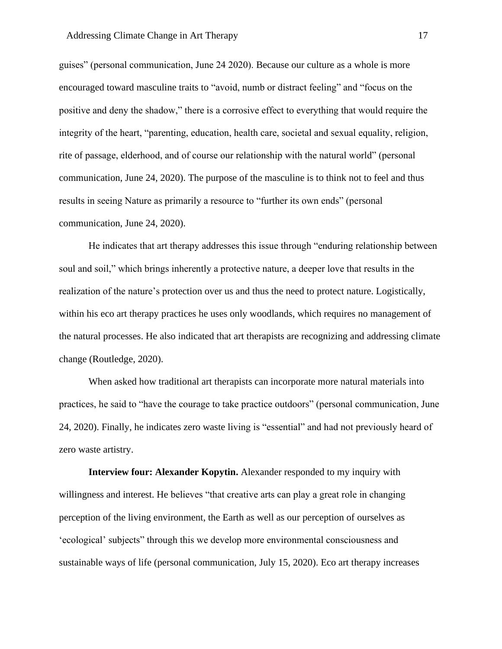guises" (personal communication, June 24 2020). Because our culture as a whole is more encouraged toward masculine traits to "avoid, numb or distract feeling" and "focus on the positive and deny the shadow," there is a corrosive effect to everything that would require the integrity of the heart, "parenting, education, health care, societal and sexual equality, religion, rite of passage, elderhood, and of course our relationship with the natural world" (personal communication, June 24, 2020). The purpose of the masculine is to think not to feel and thus results in seeing Nature as primarily a resource to "further its own ends" (personal communication, June 24, 2020).

He indicates that art therapy addresses this issue through "enduring relationship between soul and soil," which brings inherently a protective nature, a deeper love that results in the realization of the nature's protection over us and thus the need to protect nature. Logistically, within his eco art therapy practices he uses only woodlands, which requires no management of the natural processes. He also indicated that art therapists are recognizing and addressing climate change (Routledge, 2020).

When asked how traditional art therapists can incorporate more natural materials into practices, he said to "have the courage to take practice outdoors" (personal communication, June 24, 2020). Finally, he indicates zero waste living is "essential" and had not previously heard of zero waste artistry.

**Interview four: Alexander Kopytin.** Alexander responded to my inquiry with willingness and interest. He believes "that creative arts can play a great role in changing perception of the living environment, the Earth as well as our perception of ourselves as 'ecological' subjects" through this we develop more environmental consciousness and sustainable ways of life (personal communication, July 15, 2020). Eco art therapy increases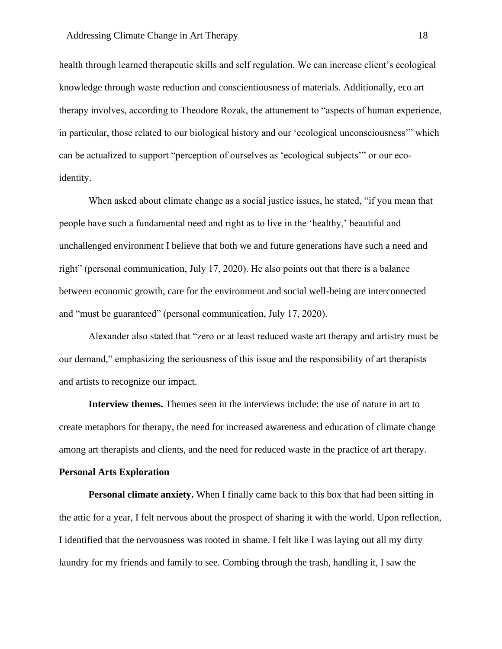health through learned therapeutic skills and self regulation. We can increase client's ecological knowledge through waste reduction and conscientiousness of materials. Additionally, eco art therapy involves, according to Theodore Rozak, the attunement to "aspects of human experience, in particular, those related to our biological history and our 'ecological unconsciousness'" which can be actualized to support "perception of ourselves as 'ecological subjects'" or our ecoidentity.

When asked about climate change as a social justice issues, he stated, "if you mean that people have such a fundamental need and right as to live in the 'healthy,' beautiful and unchallenged environment I believe that both we and future generations have such a need and right" (personal communication, July 17, 2020). He also points out that there is a balance between economic growth, care for the environment and social well-being are interconnected and "must be guaranteed" (personal communication, July 17, 2020).

Alexander also stated that "zero or at least reduced waste art therapy and artistry must be our demand," emphasizing the seriousness of this issue and the responsibility of art therapists and artists to recognize our impact.

**Interview themes.** Themes seen in the interviews include: the use of nature in art to create metaphors for therapy, the need for increased awareness and education of climate change among art therapists and clients, and the need for reduced waste in the practice of art therapy.

#### **Personal Arts Exploration**

**Personal climate anxiety.** When I finally came back to this box that had been sitting in the attic for a year, I felt nervous about the prospect of sharing it with the world. Upon reflection, I identified that the nervousness was rooted in shame. I felt like I was laying out all my dirty laundry for my friends and family to see. Combing through the trash, handling it, I saw the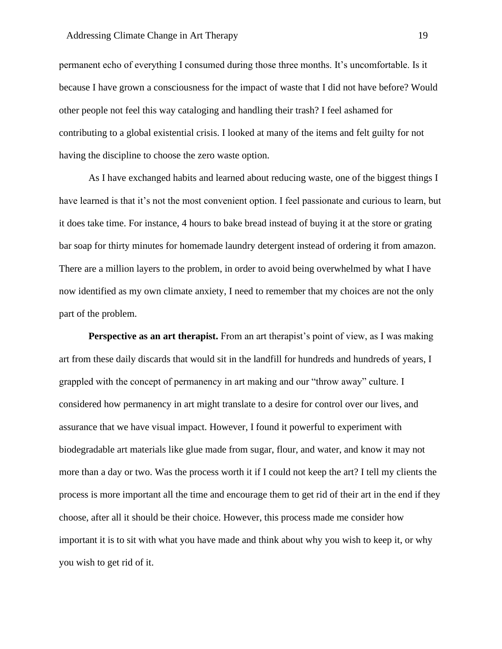permanent echo of everything I consumed during those three months. It's uncomfortable. Is it because I have grown a consciousness for the impact of waste that I did not have before? Would other people not feel this way cataloging and handling their trash? I feel ashamed for contributing to a global existential crisis. I looked at many of the items and felt guilty for not having the discipline to choose the zero waste option.

As I have exchanged habits and learned about reducing waste, one of the biggest things I have learned is that it's not the most convenient option. I feel passionate and curious to learn, but it does take time. For instance, 4 hours to bake bread instead of buying it at the store or grating bar soap for thirty minutes for homemade laundry detergent instead of ordering it from amazon. There are a million layers to the problem, in order to avoid being overwhelmed by what I have now identified as my own climate anxiety, I need to remember that my choices are not the only part of the problem.

**Perspective as an art therapist.** From an art therapist's point of view, as I was making art from these daily discards that would sit in the landfill for hundreds and hundreds of years, I grappled with the concept of permanency in art making and our "throw away" culture. I considered how permanency in art might translate to a desire for control over our lives, and assurance that we have visual impact. However, I found it powerful to experiment with biodegradable art materials like glue made from sugar, flour, and water, and know it may not more than a day or two. Was the process worth it if I could not keep the art? I tell my clients the process is more important all the time and encourage them to get rid of their art in the end if they choose, after all it should be their choice. However, this process made me consider how important it is to sit with what you have made and think about why you wish to keep it, or why you wish to get rid of it.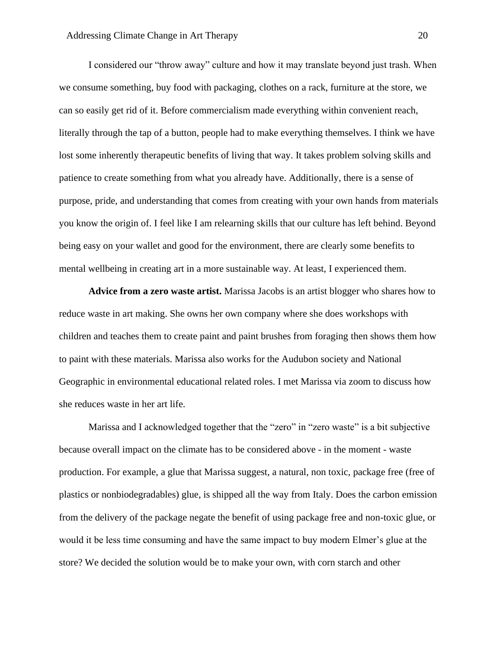I considered our "throw away" culture and how it may translate beyond just trash. When we consume something, buy food with packaging, clothes on a rack, furniture at the store, we can so easily get rid of it. Before commercialism made everything within convenient reach, literally through the tap of a button, people had to make everything themselves. I think we have lost some inherently therapeutic benefits of living that way. It takes problem solving skills and patience to create something from what you already have. Additionally, there is a sense of purpose, pride, and understanding that comes from creating with your own hands from materials you know the origin of. I feel like I am relearning skills that our culture has left behind. Beyond being easy on your wallet and good for the environment, there are clearly some benefits to mental wellbeing in creating art in a more sustainable way. At least, I experienced them.

**Advice from a zero waste artist.** Marissa Jacobs is an artist blogger who shares how to reduce waste in art making. She owns her own company where she does workshops with children and teaches them to create paint and paint brushes from foraging then shows them how to paint with these materials. Marissa also works for the Audubon society and National Geographic in environmental educational related roles. I met Marissa via zoom to discuss how she reduces waste in her art life.

Marissa and I acknowledged together that the "zero" in "zero waste" is a bit subjective because overall impact on the climate has to be considered above - in the moment - waste production. For example, a glue that Marissa suggest, a natural, non toxic, package free (free of plastics or nonbiodegradables) glue, is shipped all the way from Italy. Does the carbon emission from the delivery of the package negate the benefit of using package free and non-toxic glue, or would it be less time consuming and have the same impact to buy modern Elmer's glue at the store? We decided the solution would be to make your own, with corn starch and other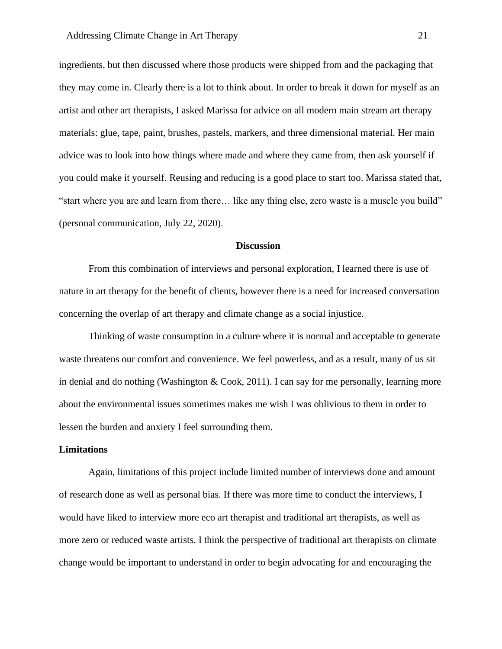ingredients, but then discussed where those products were shipped from and the packaging that they may come in. Clearly there is a lot to think about. In order to break it down for myself as an artist and other art therapists, I asked Marissa for advice on all modern main stream art therapy materials: glue, tape, paint, brushes, pastels, markers, and three dimensional material. Her main advice was to look into how things where made and where they came from, then ask yourself if you could make it yourself. Reusing and reducing is a good place to start too. Marissa stated that, "start where you are and learn from there… like any thing else, zero waste is a muscle you build" (personal communication, July 22, 2020).

# **Discussion**

From this combination of interviews and personal exploration, I learned there is use of nature in art therapy for the benefit of clients, however there is a need for increased conversation concerning the overlap of art therapy and climate change as a social injustice.

Thinking of waste consumption in a culture where it is normal and acceptable to generate waste threatens our comfort and convenience. We feel powerless, and as a result, many of us sit in denial and do nothing (Washington & Cook, 2011). I can say for me personally, learning more about the environmental issues sometimes makes me wish I was oblivious to them in order to lessen the burden and anxiety I feel surrounding them.

## **Limitations**

Again, limitations of this project include limited number of interviews done and amount of research done as well as personal bias. If there was more time to conduct the interviews, I would have liked to interview more eco art therapist and traditional art therapists, as well as more zero or reduced waste artists. I think the perspective of traditional art therapists on climate change would be important to understand in order to begin advocating for and encouraging the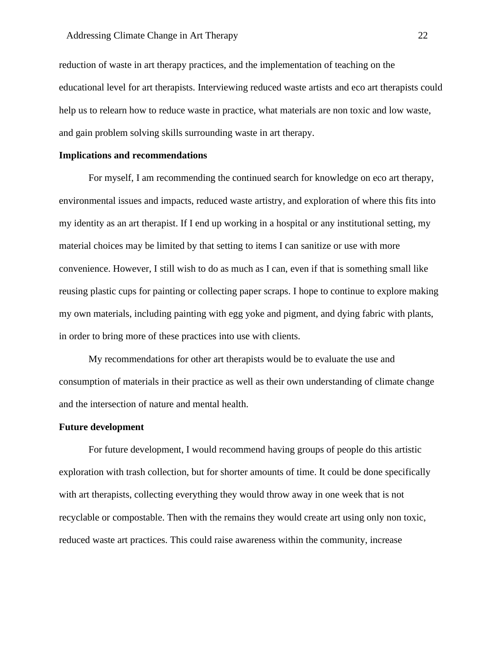reduction of waste in art therapy practices, and the implementation of teaching on the educational level for art therapists. Interviewing reduced waste artists and eco art therapists could help us to relearn how to reduce waste in practice, what materials are non toxic and low waste, and gain problem solving skills surrounding waste in art therapy.

#### **Implications and recommendations**

For myself, I am recommending the continued search for knowledge on eco art therapy, environmental issues and impacts, reduced waste artistry, and exploration of where this fits into my identity as an art therapist. If I end up working in a hospital or any institutional setting, my material choices may be limited by that setting to items I can sanitize or use with more convenience. However, I still wish to do as much as I can, even if that is something small like reusing plastic cups for painting or collecting paper scraps. I hope to continue to explore making my own materials, including painting with egg yoke and pigment, and dying fabric with plants, in order to bring more of these practices into use with clients.

My recommendations for other art therapists would be to evaluate the use and consumption of materials in their practice as well as their own understanding of climate change and the intersection of nature and mental health.

#### **Future development**

For future development, I would recommend having groups of people do this artistic exploration with trash collection, but for shorter amounts of time. It could be done specifically with art therapists, collecting everything they would throw away in one week that is not recyclable or compostable. Then with the remains they would create art using only non toxic, reduced waste art practices. This could raise awareness within the community, increase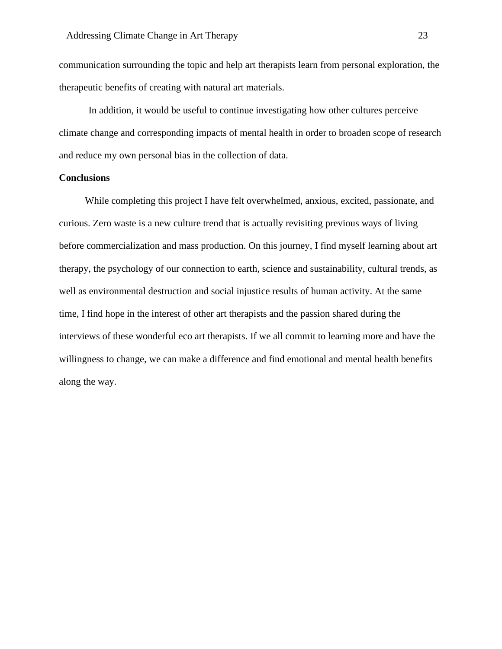communication surrounding the topic and help art therapists learn from personal exploration, the therapeutic benefits of creating with natural art materials.

In addition, it would be useful to continue investigating how other cultures perceive climate change and corresponding impacts of mental health in order to broaden scope of research and reduce my own personal bias in the collection of data.

## **Conclusions**

While completing this project I have felt overwhelmed, anxious, excited, passionate, and curious. Zero waste is a new culture trend that is actually revisiting previous ways of living before commercialization and mass production. On this journey, I find myself learning about art therapy, the psychology of our connection to earth, science and sustainability, cultural trends, as well as environmental destruction and social injustice results of human activity. At the same time, I find hope in the interest of other art therapists and the passion shared during the interviews of these wonderful eco art therapists. If we all commit to learning more and have the willingness to change, we can make a difference and find emotional and mental health benefits along the way.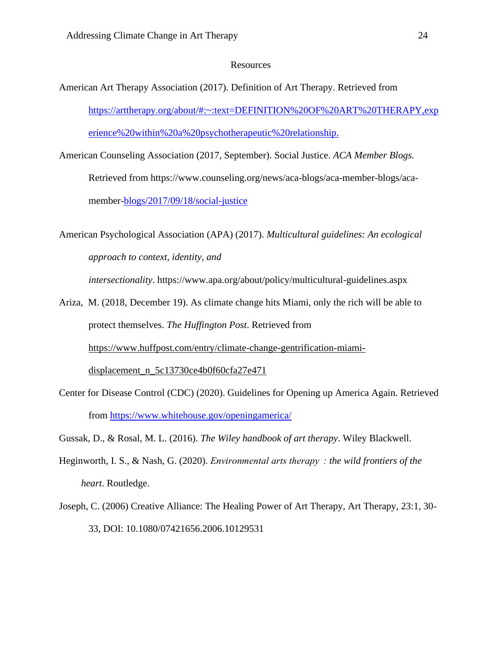## Resources

- American Art Therapy Association (2017). Definition of Art Therapy. Retrieved from [https://arttherapy.org/about/#:~:text=DEFINITION%20OF%20ART%20THERAPY,exp](https://arttherapy.org/about/#:~:text=DEFINITION%20OF%20ART%20THERAPY,experience%20within%20a%20psychotherapeutic%20relationship.) [erience%20within%20a%20psychotherapeutic%20relationship.](https://arttherapy.org/about/#:~:text=DEFINITION%20OF%20ART%20THERAPY,experience%20within%20a%20psychotherapeutic%20relationship.)
- American Counseling Association (2017, September). Social Justice. *ACA Member Blogs.*  Retrieved from https://www.counseling.org/news/aca-blogs/aca-member-blogs/acamember[-blogs/2017/09/18/social-justice](https://www.counseling.org/news/aca-blogs/aca-member-blogs/aca-member-blogs/2017/09/18/social-justice)

American Psychological Association (APA) (2017). *Multicultural guidelines: An ecological approach to context, identity, and* 

*intersectionality*. <https://www.apa.org/about/policy/multicultural-guidelines.aspx>

- Ariza, M. (2018, December 19). As climate change hits Miami, only the rich will be able to protect themselves. *The Huffington Post*. Retrieved from [https://www.huffpost.com/entry/climate-change-gentrification-miami](https://www.huffpost.com/entry/climate-change-gentrification-miami-displacement_n_5c13730ce4b0f60cfa27e471)[displacement\\_n\\_5c13730ce4b0f60cfa27e471](https://www.huffpost.com/entry/climate-change-gentrification-miami-displacement_n_5c13730ce4b0f60cfa27e471)
- Center for Disease Control (CDC) (2020). Guidelines for Opening up America Again. Retrieved from<https://www.whitehouse.gov/openingamerica/>

Gussak, D., & Rosal, M. L. (2016). *The Wiley handbook of art therapy*. Wiley Blackwell.

- Heginworth, I. S., & Nash, G. (2020). *Environmental arts therapy  : the wild frontiers of the heart*. Routledge.
- Joseph, C. (2006) Creative Alliance: The Healing Power of Art Therapy, Art Therapy, 23:1, 30- 33, DOI: 10.1080/07421656.2006.10129531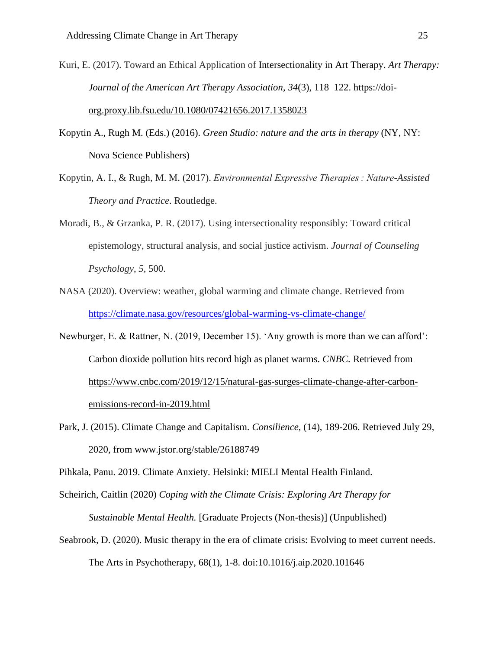- Kuri, E. (2017). Toward an Ethical Application of Intersectionality in Art Therapy. *Art Therapy: Journal of the American Art Therapy Association*, *34*(3), 118–122. [https://doi](https://doi-org.proxy.lib.fsu.edu/10.1080/07421656.2017.1358023)[org.proxy.lib.fsu.edu/10.1080/07421656.2017.1358023](https://doi-org.proxy.lib.fsu.edu/10.1080/07421656.2017.1358023)
- Kopytin A., Rugh M. (Eds.) (2016). *Green Studio: nature and the arts in therapy* (NY, NY: Nova Science Publishers)
- Kopytin, A. I., & Rugh, M. M. (2017). *Environmental Expressive Therapies : Nature-Assisted Theory and Practice*. Routledge.
- Moradi, B., & Grzanka, P. R. (2017). Using intersectionality responsibly: Toward critical epistemology, structural analysis, and social justice activism. *Journal of Counseling Psychology*, *5*, 500.
- NASA (2020). Overview: weather, global warming and climate change. Retrieved from <https://climate.nasa.gov/resources/global-warming-vs-climate-change/>
- Newburger, E. & Rattner, N. (2019, December 15). 'Any growth is more than we can afford': Carbon dioxide pollution hits record high as planet warms. *CNBC.* Retrieved from [https://www.cnbc.com/2019/12/15/natural-gas-surges-climate-change-after-carbon](https://www.cnbc.com/2019/12/15/natural-gas-surges-climate-change-after-carbon-emissions-record-in-2019.html)[emissions-record-in-2019.html](https://www.cnbc.com/2019/12/15/natural-gas-surges-climate-change-after-carbon-emissions-record-in-2019.html)
- Park, J. (2015). Climate Change and Capitalism. *Consilience,* (14), 189-206. Retrieved July 29, 2020, from www.jstor.org/stable/26188749

Pihkala, Panu. 2019. Climate Anxiety. Helsinki: MIELI Mental Health Finland.

Scheirich, Caitlin (2020) *Coping with the Climate Crisis: Exploring Art Therapy for Sustainable Mental Health.* [Graduate Projects (Non-thesis)] (Unpublished)

Seabrook, D. (2020). Music therapy in the era of climate crisis: Evolving to meet current needs.

The Arts in Psychotherapy, 68(1), 1-8. doi:10.1016/j.aip.2020.101646